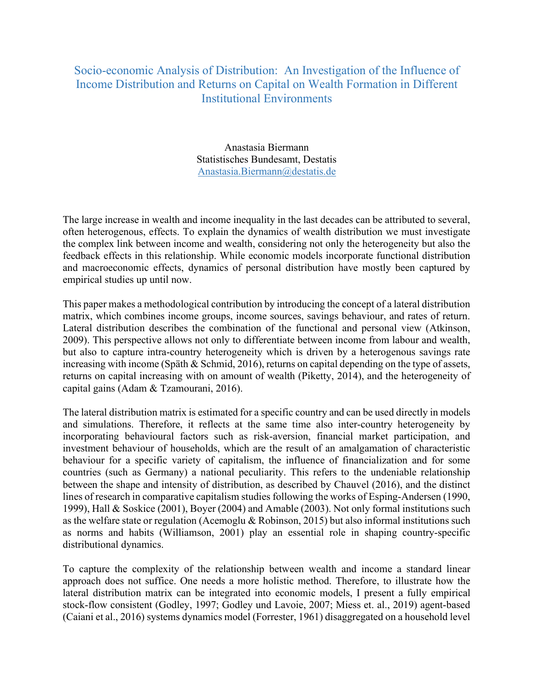## Socio-economic Analysis of Distribution: An Investigation of the Influence of Income Distribution and Returns on Capital on Wealth Formation in Different Institutional Environments

Anastasia Biermann Statistisches Bundesamt, Destatis Anastasia.Biermann@destatis.de

The large increase in wealth and income inequality in the last decades can be attributed to several, often heterogenous, effects. To explain the dynamics of wealth distribution we must investigate the complex link between income and wealth, considering not only the heterogeneity but also the feedback effects in this relationship. While economic models incorporate functional distribution and macroeconomic effects, dynamics of personal distribution have mostly been captured by empirical studies up until now.

This paper makes a methodological contribution by introducing the concept of a lateral distribution matrix, which combines income groups, income sources, savings behaviour, and rates of return. Lateral distribution describes the combination of the functional and personal view (Atkinson, 2009). This perspective allows not only to differentiate between income from labour and wealth, but also to capture intra-country heterogeneity which is driven by a heterogenous savings rate increasing with income (Späth & Schmid, 2016), returns on capital depending on the type of assets, returns on capital increasing with on amount of wealth (Piketty, 2014), and the heterogeneity of capital gains (Adam & Tzamourani, 2016).

The lateral distribution matrix is estimated for a specific country and can be used directly in models and simulations. Therefore, it reflects at the same time also inter-country heterogeneity by incorporating behavioural factors such as risk-aversion, financial market participation, and investment behaviour of households, which are the result of an amalgamation of characteristic behaviour for a specific variety of capitalism, the influence of financialization and for some countries (such as Germany) a national peculiarity. This refers to the undeniable relationship between the shape and intensity of distribution, as described by Chauvel (2016), and the distinct lines of research in comparative capitalism studies following the works of Esping-Andersen (1990, 1999), Hall & Soskice (2001), Boyer (2004) and Amable (2003). Not only formal institutions such as the welfare state or regulation (Acemoglu & Robinson, 2015) but also informal institutions such as norms and habits (Williamson, 2001) play an essential role in shaping country-specific distributional dynamics.

To capture the complexity of the relationship between wealth and income a standard linear approach does not suffice. One needs a more holistic method. Therefore, to illustrate how the lateral distribution matrix can be integrated into economic models, I present a fully empirical stock-flow consistent (Godley, 1997; Godley und Lavoie, 2007; Miess et. al., 2019) agent-based (Caiani et al., 2016) systems dynamics model (Forrester, 1961) disaggregated on a household level